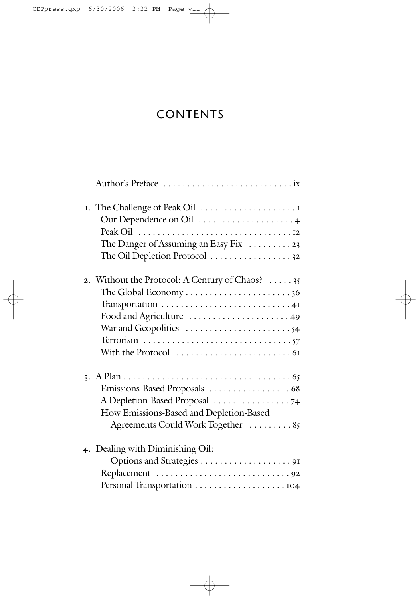## **CONTENTS**

| I. The Challenge of Peak Oil                               |
|------------------------------------------------------------|
| Our Dependence on Oil  4                                   |
|                                                            |
| The Danger of Assuming an Easy Fix 23                      |
| The Oil Depletion Protocol 32                              |
| 2. Without the Protocol: A Century of Chaos? 35            |
| The Global Economy $\dots\dots\dots\dots\dots\dots\dots36$ |
| Transportation 41                                          |
| Food and Agriculture 49                                    |
|                                                            |
|                                                            |
|                                                            |
|                                                            |
| Emissions-Based Proposals  68                              |
|                                                            |
| How Emissions-Based and Depletion-Based                    |
| Agreements Could Work Together  85                         |
| 4. Dealing with Diminishing Oil:                           |
|                                                            |
|                                                            |
|                                                            |
|                                                            |